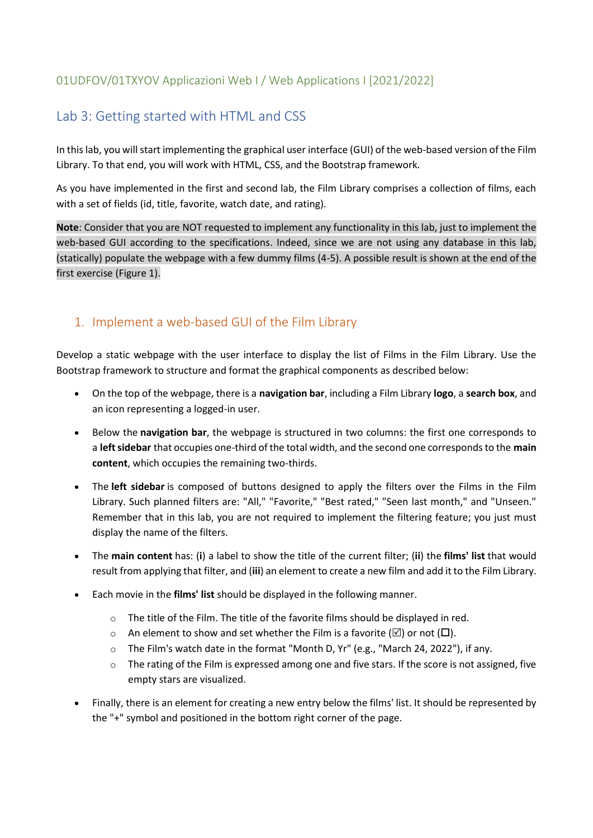### 01UDFOV/01TXYOV Applicazioni Web I / Web Applications I [2021/2022]

# Lab 3: Getting started with HTML and CSS

In this lab, you will start implementing the graphical user interface (GUI) of the web-based version of the Film Library. To that end, you will work with HTML, CSS, and the Bootstrap framework.

As you have implemented in the first and second lab, the Film Library comprises a collection of films, each with a set of fields (id, title, favorite, watch date, and rating).

**Note**: Consider that you are NOT requested to implement any functionality in this lab, just to implement the web-based GUI according to the specifications. Indeed, since we are not using any database in this lab, (statically) populate the webpage with a few dummy films (4-5). A possible result is shown at the end of the first exercise (Figure 1).

## 1. Implement a web-based GUI of the Film Library

Develop a static webpage with the user interface to display the list of Films in the Film Library. Use the Bootstrap framework to structure and format the graphical components as described below:

- On the top of the webpage, there is a **navigation bar**, including a Film Library **logo**, a **search box**, and an icon representing a logged-in user.
- Below the **navigation bar**, the webpage is structured in two columns: the first one corresponds to a **left sidebar** that occupies one-third of the total width, and the second one corresponds to the **main content**, which occupies the remaining two-thirds.
- The **left sidebar** is composed of buttons designed to apply the filters over the Films in the Film Library. Such planned filters are: "All," "Favorite," "Best rated," "Seen last month," and "Unseen." Remember that in this lab, you are not required to implement the filtering feature; you just must display the name of the filters.
- The **main content** has: (**i**) a label to show the title of the current filter; (**ii**) the **films' list** that would result from applying that filter, and (**iii**) an element to create a new film and add it to the Film Library.
- Each movie in the **films' list** should be displayed in the following manner.
	- o The title of the Film. The title of the favorite films should be displayed in red.
	- o An element to show and set whether the Film is a favorite  $(\boxtimes)$  or not  $(\Box)$ .
	- o The Film's watch date in the format "Month D, Yr" (e.g., "March 24, 2022"), if any.
	- o The rating of the Film is expressed among one and five stars. If the score is not assigned, five empty stars are visualized.
- Finally, there is an element for creating a new entry below the films' list. It should be represented by the "+" symbol and positioned in the bottom right corner of the page.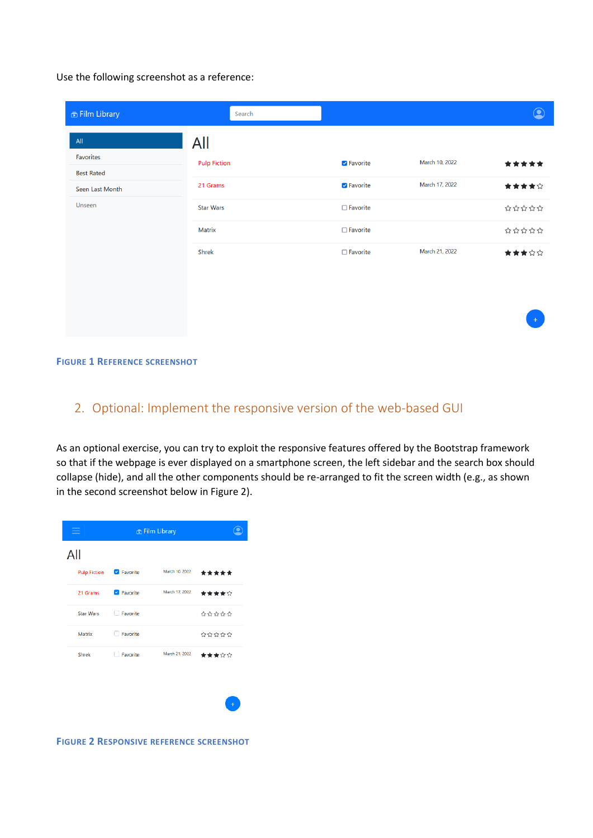Use the following screenshot as a reference:

| <b>6</b> Film Library          | Search              |                    |                | $\textcircled{\textcirc}$ |
|--------------------------------|---------------------|--------------------|----------------|---------------------------|
| All                            | All                 |                    |                |                           |
| Favorites<br><b>Best Rated</b> | <b>Pulp Fiction</b> | <b>Z</b> Favorite  | March 10, 2022 | *****                     |
| Seen Last Month                | 21 Grams            | <b>Z</b> Favorite  | March 17, 2022 | ★★★★☆                     |
| Unseen                         | <b>Star Wars</b>    | $\square$ Favorite |                | *****                     |
|                                | Matrix              | □ Favorite         |                | 202020                    |
|                                | Shrek               | $\Box$ Favorite    | March 21, 2022 | ★★★☆☆                     |
|                                |                     |                    |                |                           |
|                                |                     |                    |                |                           |
|                                |                     |                    |                | $+$                       |

#### **FIGURE 1 REFERENCE SCREENSHOT**

### 2. Optional: Implement the responsive version of the web-based GUI

As an optional exercise, you can try to exploit the responsive features offered by the Bootstrap framework so that if the webpage is ever displayed on a smartphone screen, the left sidebar and the search box should collapse (hide), and all the other components should be re-arranged to fit the screen width (e.g., as shown in the second screenshot below in Figure 2).



**FIGURE 2 RESPONSIVE REFERENCE SCREENSHOT**